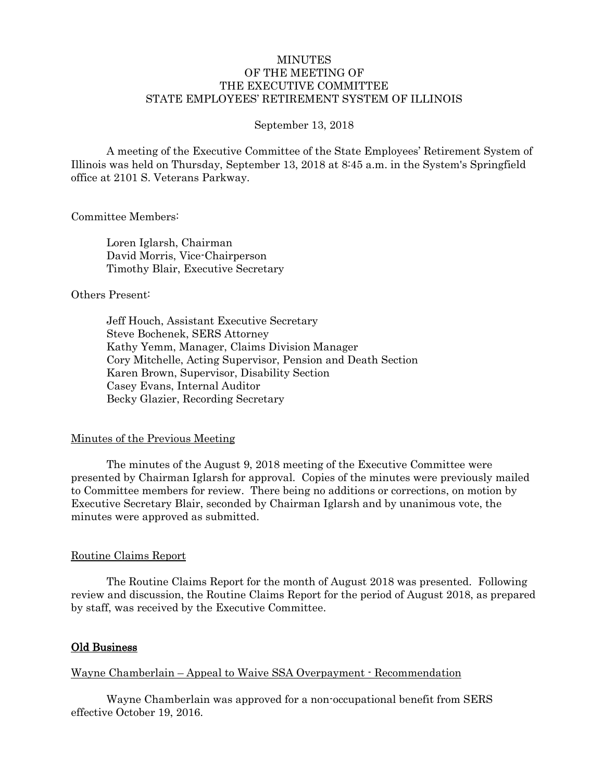## **MINUTES** OF THE MEETING OF THE EXECUTIVE COMMITTEE STATE EMPLOYEES' RETIREMENT SYSTEM OF ILLINOIS

#### September 13, 2018

A meeting of the Executive Committee of the State Employees' Retirement System of Illinois was held on Thursday, September 13, 2018 at 8:45 a.m. in the System's Springfield office at 2101 S. Veterans Parkway.

#### Committee Members:

Loren Iglarsh, Chairman David Morris, Vice-Chairperson Timothy Blair, Executive Secretary

## Others Present:

Jeff Houch, Assistant Executive Secretary Steve Bochenek, SERS Attorney Kathy Yemm, Manager, Claims Division Manager Cory Mitchelle, Acting Supervisor, Pension and Death Section Karen Brown, Supervisor, Disability Section Casey Evans, Internal Auditor Becky Glazier, Recording Secretary

## Minutes of the Previous Meeting

The minutes of the August 9, 2018 meeting of the Executive Committee were presented by Chairman Iglarsh for approval. Copies of the minutes were previously mailed to Committee members for review. There being no additions or corrections, on motion by Executive Secretary Blair, seconded by Chairman Iglarsh and by unanimous vote, the minutes were approved as submitted.

## Routine Claims Report

The Routine Claims Report for the month of August 2018 was presented. Following review and discussion, the Routine Claims Report for the period of August 2018, as prepared by staff, was received by the Executive Committee.

## Old Business

## Wayne Chamberlain – Appeal to Waive SSA Overpayment - Recommendation

Wayne Chamberlain was approved for a non-occupational benefit from SERS effective October 19, 2016.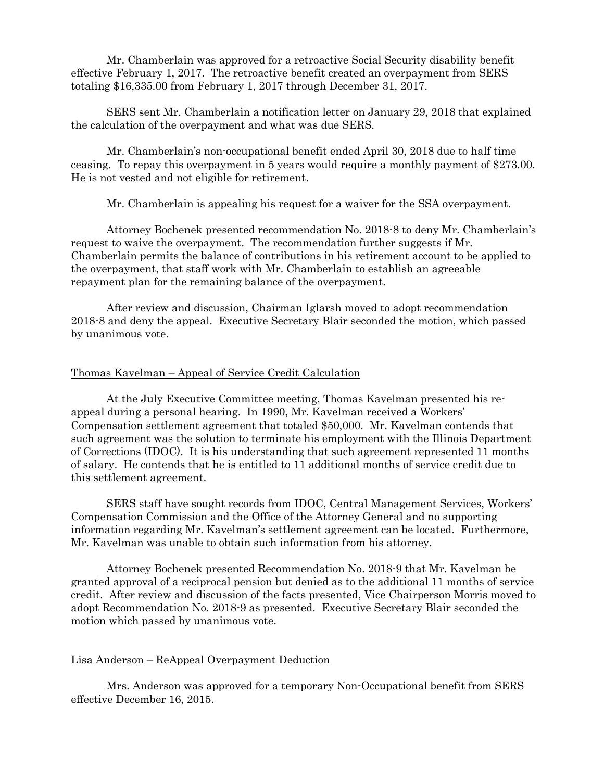Mr. Chamberlain was approved for a retroactive Social Security disability benefit effective February 1, 2017. The retroactive benefit created an overpayment from SERS totaling \$16,335.00 from February 1, 2017 through December 31, 2017.

SERS sent Mr. Chamberlain a notification letter on January 29, 2018 that explained the calculation of the overpayment and what was due SERS.

Mr. Chamberlain's non-occupational benefit ended April 30, 2018 due to half time ceasing. To repay this overpayment in 5 years would require a monthly payment of \$273.00. He is not vested and not eligible for retirement.

Mr. Chamberlain is appealing his request for a waiver for the SSA overpayment.

Attorney Bochenek presented recommendation No. 2018-8 to deny Mr. Chamberlain's request to waive the overpayment. The recommendation further suggests if Mr. Chamberlain permits the balance of contributions in his retirement account to be applied to the overpayment, that staff work with Mr. Chamberlain to establish an agreeable repayment plan for the remaining balance of the overpayment.

After review and discussion, Chairman Iglarsh moved to adopt recommendation 2018-8 and deny the appeal. Executive Secretary Blair seconded the motion, which passed by unanimous vote.

#### Thomas Kavelman – Appeal of Service Credit Calculation

At the July Executive Committee meeting, Thomas Kavelman presented his reappeal during a personal hearing. In 1990, Mr. Kavelman received a Workers' Compensation settlement agreement that totaled \$50,000. Mr. Kavelman contends that such agreement was the solution to terminate his employment with the Illinois Department of Corrections (IDOC). It is his understanding that such agreement represented 11 months of salary. He contends that he is entitled to 11 additional months of service credit due to this settlement agreement.

SERS staff have sought records from IDOC, Central Management Services, Workers' Compensation Commission and the Office of the Attorney General and no supporting information regarding Mr. Kavelman's settlement agreement can be located. Furthermore, Mr. Kavelman was unable to obtain such information from his attorney.

Attorney Bochenek presented Recommendation No. 2018-9 that Mr. Kavelman be granted approval of a reciprocal pension but denied as to the additional 11 months of service credit. After review and discussion of the facts presented, Vice Chairperson Morris moved to adopt Recommendation No. 2018-9 as presented. Executive Secretary Blair seconded the motion which passed by unanimous vote.

#### Lisa Anderson – ReAppeal Overpayment Deduction

Mrs. Anderson was approved for a temporary Non-Occupational benefit from SERS effective December 16, 2015.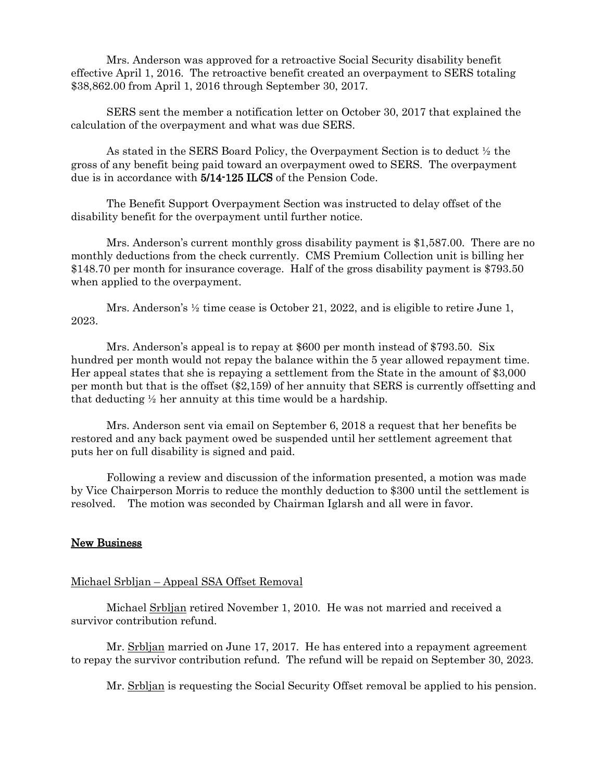Mrs. Anderson was approved for a retroactive Social Security disability benefit effective April 1, 2016. The retroactive benefit created an overpayment to SERS totaling \$38,862.00 from April 1, 2016 through September 30, 2017.

SERS sent the member a notification letter on October 30, 2017 that explained the calculation of the overpayment and what was due SERS.

As stated in the SERS Board Policy, the Overpayment Section is to deduct ½ the gross of any benefit being paid toward an overpayment owed to SERS. The overpayment due is in accordance with 5/14-125 ILCS of the Pension Code.

The Benefit Support Overpayment Section was instructed to delay offset of the disability benefit for the overpayment until further notice.

Mrs. Anderson's current monthly gross disability payment is \$1,587.00. There are no monthly deductions from the check currently. CMS Premium Collection unit is billing her \$148.70 per month for insurance coverage. Half of the gross disability payment is \$793.50 when applied to the overpayment.

Mrs. Anderson's ½ time cease is October 21, 2022, and is eligible to retire June 1, 2023.

Mrs. Anderson's appeal is to repay at \$600 per month instead of \$793.50. Six hundred per month would not repay the balance within the 5 year allowed repayment time. Her appeal states that she is repaying a settlement from the State in the amount of \$3,000 per month but that is the offset (\$2,159) of her annuity that SERS is currently offsetting and that deducting  $\frac{1}{2}$  her annuity at this time would be a hardship.

Mrs. Anderson sent via email on September 6, 2018 a request that her benefits be restored and any back payment owed be suspended until her settlement agreement that puts her on full disability is signed and paid.

Following a review and discussion of the information presented, a motion was made by Vice Chairperson Morris to reduce the monthly deduction to \$300 until the settlement is resolved. The motion was seconded by Chairman Iglarsh and all were in favor.

# New Business

## Michael Srbljan – Appeal SSA Offset Removal

Michael Srbljan retired November 1, 2010. He was not married and received a survivor contribution refund.

Mr. Srbljan married on June 17, 2017. He has entered into a repayment agreement to repay the survivor contribution refund. The refund will be repaid on September 30, 2023.

Mr. Srbljan is requesting the Social Security Offset removal be applied to his pension.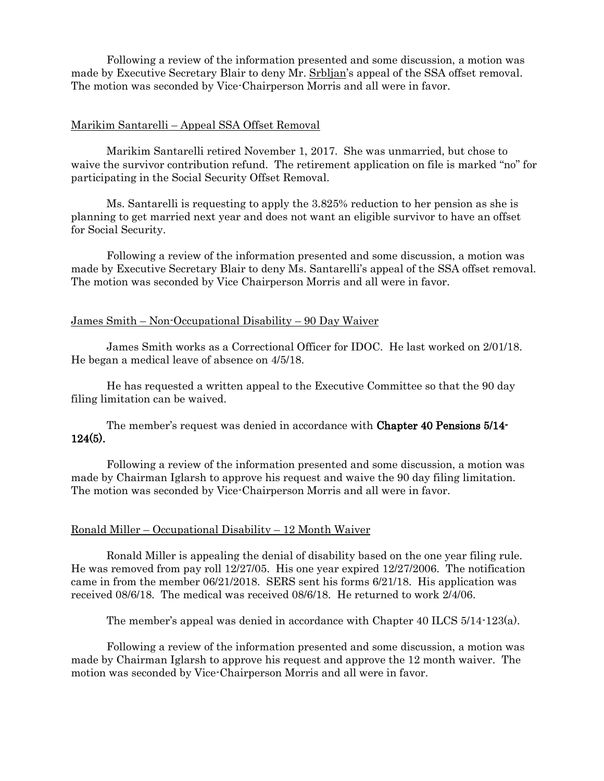Following a review of the information presented and some discussion, a motion was made by Executive Secretary Blair to deny Mr. Srbljan's appeal of the SSA offset removal. The motion was seconded by Vice-Chairperson Morris and all were in favor.

#### Marikim Santarelli – Appeal SSA Offset Removal

Marikim Santarelli retired November 1, 2017. She was unmarried, but chose to waive the survivor contribution refund. The retirement application on file is marked "no" for participating in the Social Security Offset Removal.

Ms. Santarelli is requesting to apply the 3.825% reduction to her pension as she is planning to get married next year and does not want an eligible survivor to have an offset for Social Security.

Following a review of the information presented and some discussion, a motion was made by Executive Secretary Blair to deny Ms. Santarelli's appeal of the SSA offset removal. The motion was seconded by Vice Chairperson Morris and all were in favor.

#### James Smith – Non-Occupational Disability – 90 Day Waiver

James Smith works as a Correctional Officer for IDOC. He last worked on 2/01/18. He began a medical leave of absence on 4/5/18.

He has requested a written appeal to the Executive Committee so that the 90 day filing limitation can be waived.

The member's request was denied in accordance with Chapter 40 Pensions 5/14- 124(5).

Following a review of the information presented and some discussion, a motion was made by Chairman Iglarsh to approve his request and waive the 90 day filing limitation. The motion was seconded by Vice-Chairperson Morris and all were in favor.

#### Ronald Miller – Occupational Disability – 12 Month Waiver

Ronald Miller is appealing the denial of disability based on the one year filing rule. He was removed from pay roll 12/27/05. His one year expired 12/27/2006. The notification came in from the member 06/21/2018. SERS sent his forms 6/21/18. His application was received 08/6/18. The medical was received 08/6/18. He returned to work 2/4/06.

The member's appeal was denied in accordance with Chapter 40 ILCS 5/14-123(a).

Following a review of the information presented and some discussion, a motion was made by Chairman Iglarsh to approve his request and approve the 12 month waiver. The motion was seconded by Vice-Chairperson Morris and all were in favor.